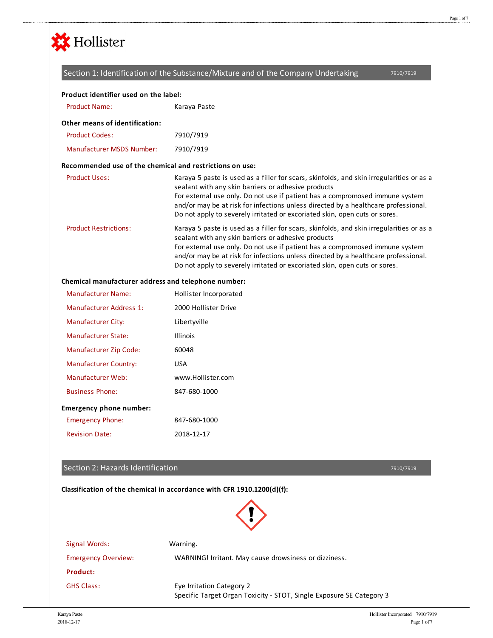

## Section 1: Identification of the Substance/Mixture and of the Company Undertaking

7910/7919

| Product identifier used on the label:                    |                                                                                                                                                                                                                                                                                                                                                                                                     |
|----------------------------------------------------------|-----------------------------------------------------------------------------------------------------------------------------------------------------------------------------------------------------------------------------------------------------------------------------------------------------------------------------------------------------------------------------------------------------|
| <b>Product Name:</b>                                     | Karaya Paste                                                                                                                                                                                                                                                                                                                                                                                        |
| <b>Other means of identification:</b>                    |                                                                                                                                                                                                                                                                                                                                                                                                     |
| <b>Product Codes:</b>                                    | 7910/7919                                                                                                                                                                                                                                                                                                                                                                                           |
| <b>Manufacturer MSDS Number:</b>                         | 7910/7919                                                                                                                                                                                                                                                                                                                                                                                           |
| Recommended use of the chemical and restrictions on use: |                                                                                                                                                                                                                                                                                                                                                                                                     |
| <b>Product Uses:</b>                                     | Karaya 5 paste is used as a filler for scars, skinfolds, and skin irregularities or as a<br>sealant with any skin barriers or adhesive products<br>For external use only. Do not use if patient has a compromosed immune system<br>and/or may be at risk for infections unless directed by a healthcare professional.<br>Do not apply to severely irritated or excoriated skin, open cuts or sores. |
| <b>Product Restrictions:</b>                             | Karaya 5 paste is used as a filler for scars, skinfolds, and skin irregularities or as a<br>sealant with any skin barriers or adhesive products<br>For external use only. Do not use if patient has a compromosed immune system<br>and/or may be at risk for infections unless directed by a healthcare professional.<br>Do not apply to severely irritated or excoriated skin, open cuts or sores. |
| Chemical manufacturer address and telephone number:      |                                                                                                                                                                                                                                                                                                                                                                                                     |
| <b>Manufacturer Name:</b>                                | Hollister Incorporated                                                                                                                                                                                                                                                                                                                                                                              |
| Manufacturer Address 1:                                  | 2000 Hollister Drive                                                                                                                                                                                                                                                                                                                                                                                |
| <b>Manufacturer City:</b>                                | Libertyville                                                                                                                                                                                                                                                                                                                                                                                        |

| <b><i>IVIGHUIGCLUITE CILY.</i></b> | <b>LIDEILYVIIIE</b> |
|------------------------------------|---------------------|
| Manufacturer State:                | <b>Illinois</b>     |
| Manufacturer Zip Code:             | 60048               |
| <b>Manufacturer Country:</b>       | USA                 |
| Manufacturer Web:                  | www.Hollister.com   |
| <b>Business Phone:</b>             | 847-680-1000        |
| <b>Emergency phone number:</b>     |                     |
| <b>Emergency Phone:</b>            | 847-680-1000        |
| <b>Revision Date:</b>              | 2018-12-17          |

## Section 2: Hazards Identification

7910/7919

**Classification of the chemical in accordance with CFR 1910.1200(d)(f):**



Signal Words: Warning. Emergency Overview: WARNING! Irritant. May cause drowsiness or dizziness. **Product:** GHS Class: Eye Irritation Category 2 Specific Target Organ Toxicity - STOT, Single Exposure SE Category 3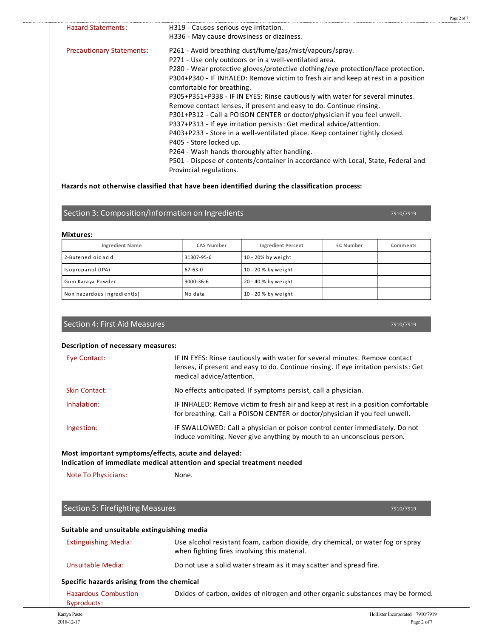| H319 - Causes serious eye irritation.                                             |
|-----------------------------------------------------------------------------------|
| H336 - May cause drowsiness or dizziness.                                         |
| P261 - Avoid breathing dust/fume/gas/mist/vapours/spray.                          |
| P271 - Use only outdoors or in a well-ventilated area.                            |
| P280 - Wear protective gloves/protective clothing/eye protection/face protection. |
| P304+P340 - IF INHALED: Remove victim to fresh air and keep at rest in a position |
| comfortable for breathing.                                                        |
| P305+P351+P338 - IF IN EYES: Rinse cautiously with water for several minutes.     |
| Remove contact lenses, if present and easy to do. Continue rinsing.               |
| P301+P312 - Call a POISON CENTER or doctor/physician if you feel unwell.          |
| P337+P313 - If eye irritation persists: Get medical advice/attention.             |
| P403+P233 - Store in a well-ventilated place. Keep container tightly closed.      |
| P405 - Store locked up.                                                           |
| P264 - Wash hands thoroughly after handling.                                      |
| P501 - Dispose of contents/container in accordance with Local, State, Federal and |
| Provincial regulations.                                                           |
|                                                                                   |

### **Hazards not otherwise classified that have been identified during the classification process:**

## Section 3: Composition/Information on Ingredients

#### **Mixtures:**

. . . . . . . . . . . . . . . .

| <b>Ingredient Name</b>      | CAS Number    | <b>Ingredient Percent</b> | <b>EC Number</b> | Comments |
|-----------------------------|---------------|---------------------------|------------------|----------|
| 2-Butenedioic acid          | 31307-95-6    | 10 - 20% by weight        |                  |          |
| Isopropanol (IPA)           | $67 - 63 - 0$ | 10 - 20 % by weight       |                  |          |
| Gum Karaya Powder           | 9000-36-6     | 20 - 40 % by weight       |                  |          |
| Non hazardous ingredient(s) | No data       | 10 - 20 % by weight       |                  |          |

## Section 4: First Aid Measures

**Description of necessary measures:**

| Eye Contact:         | IF IN EYES: Rinse cautiously with water for several minutes. Remove contact<br>lenses, if present and easy to do. Continue rinsing. If eye irritation persists: Get<br>medical advice/attention. |
|----------------------|--------------------------------------------------------------------------------------------------------------------------------------------------------------------------------------------------|
| <b>Skin Contact:</b> | No effects anticipated. If symptoms persist, call a physician.                                                                                                                                   |
| Inhalation:          | IF INHALED: Remove victim to fresh air and keep at rest in a position comfortable<br>for breathing. Call a POISON CENTER or doctor/physician if you feel unwell.                                 |
| Ingestion:           | IF SWALLOWED: Call a physician or poison control center immediately. Do not<br>induce vomiting. Never give anything by mouth to an unconscious person.                                           |

## **Most important symptoms/effects, acute and delayed:**

**Indication of immediate medical attention and special treatment needed**

Note To Physicians: None.

# Section 5: Firefighting Measures

7910/7919

7910/7919

Page 2 of 7

7910/7919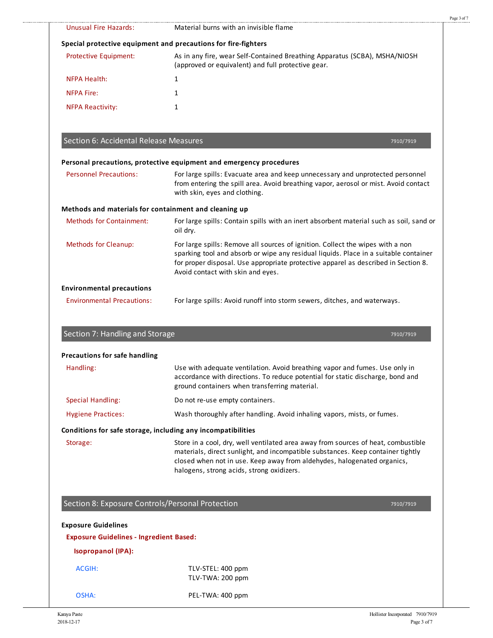|                                                         | Material burns with an invisible flame                                                                                                                                                                                                                                                            |
|---------------------------------------------------------|---------------------------------------------------------------------------------------------------------------------------------------------------------------------------------------------------------------------------------------------------------------------------------------------------|
| <b>Unusual Fire Hazards:</b>                            |                                                                                                                                                                                                                                                                                                   |
|                                                         | Special protective equipment and precautions for fire-fighters                                                                                                                                                                                                                                    |
| <b>Protective Equipment:</b>                            | As in any fire, wear Self-Contained Breathing Apparatus (SCBA), MSHA/NIOSH<br>(approved or equivalent) and full protective gear.                                                                                                                                                                  |
| <b>NFPA Health:</b>                                     | 1                                                                                                                                                                                                                                                                                                 |
| <b>NFPA Fire:</b>                                       | $\mathbf{1}$                                                                                                                                                                                                                                                                                      |
| <b>NFPA Reactivity:</b>                                 | 1                                                                                                                                                                                                                                                                                                 |
| Section 6: Accidental Release Measures                  | 7910/7919                                                                                                                                                                                                                                                                                         |
|                                                         | Personal precautions, protective equipment and emergency procedures                                                                                                                                                                                                                               |
| <b>Personnel Precautions:</b>                           | For large spills: Evacuate area and keep unnecessary and unprotected personnel<br>from entering the spill area. Avoid breathing vapor, aerosol or mist. Avoid contact<br>with skin, eyes and clothing.                                                                                            |
|                                                         | Methods and materials for containment and cleaning up                                                                                                                                                                                                                                             |
| <b>Methods for Containment:</b>                         | For large spills: Contain spills with an inert absorbent material such as soil, sand or<br>oil dry.                                                                                                                                                                                               |
| <b>Methods for Cleanup:</b>                             | For large spills: Remove all sources of ignition. Collect the wipes with a non<br>sparking tool and absorb or wipe any residual liquids. Place in a suitable container<br>for proper disposal. Use appropriate protective apparel as described in Section 8.<br>Avoid contact with skin and eyes. |
| <b>Environmental precautions</b>                        |                                                                                                                                                                                                                                                                                                   |
| <b>Environmental Precautions:</b>                       | For large spills: Avoid runoff into storm sewers, ditches, and waterways.                                                                                                                                                                                                                         |
| Section 7: Handling and Storage                         |                                                                                                                                                                                                                                                                                                   |
| Precautions for safe handling                           |                                                                                                                                                                                                                                                                                                   |
| Handling:                                               | Use with adequate ventilation. Avoid breathing vapor and fumes. Use only in<br>accordance with directions. To reduce potential for static discharge, bond and<br>ground containers when transferring material.                                                                                    |
|                                                         | Do not re-use empty containers.                                                                                                                                                                                                                                                                   |
|                                                         | Wash thoroughly after handling. Avoid inhaling vapors, mists, or fumes.                                                                                                                                                                                                                           |
| <b>Special Handling:</b><br><b>Hygiene Practices:</b>   | Conditions for safe storage, including any incompatibilities                                                                                                                                                                                                                                      |
| Storage:                                                | Store in a cool, dry, well ventilated area away from sources of heat, combustible<br>materials, direct sunlight, and incompatible substances. Keep container tightly<br>closed when not in use. Keep away from aldehydes, halogenated organics,<br>halogens, strong acids, strong oxidizers.      |
|                                                         |                                                                                                                                                                                                                                                                                                   |
|                                                         | Section 8: Exposure Controls/Personal Protection<br>7910/7919                                                                                                                                                                                                                                     |
| <b>Exposure Guidelines - Ingredient Based:</b>          |                                                                                                                                                                                                                                                                                                   |
| <b>Exposure Guidelines</b><br><b>Isopropanol (IPA):</b> |                                                                                                                                                                                                                                                                                                   |
| <b>ACGIH:</b>                                           | TLV-STEL: 400 ppm<br>TLV-TWA: 200 ppm                                                                                                                                                                                                                                                             |
| OSHA:                                                   | PEL-TWA: 400 ppm                                                                                                                                                                                                                                                                                  |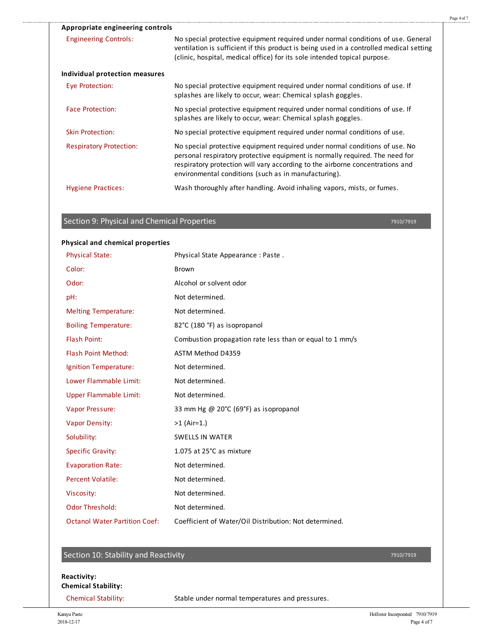| Appropriate engineering controls |                                                                                                                                                                                                                                                                                                      |
|----------------------------------|------------------------------------------------------------------------------------------------------------------------------------------------------------------------------------------------------------------------------------------------------------------------------------------------------|
| <b>Engineering Controls:</b>     | No special protective equipment required under normal conditions of use. General<br>ventilation is sufficient if this product is being used in a controlled medical setting<br>(clinic, hospital, medical office) for its sole intended topical purpose.                                             |
| Individual protection measures   |                                                                                                                                                                                                                                                                                                      |
| Eye Protection:                  | No special protective equipment required under normal conditions of use. If<br>splashes are likely to occur, wear: Chemical splash goggles.                                                                                                                                                          |
| <b>Face Protection:</b>          | No special protective equipment required under normal conditions of use. If<br>splashes are likely to occur, wear: Chemical splash goggles.                                                                                                                                                          |
| <b>Skin Protection:</b>          | No special protective equipment required under normal conditions of use.                                                                                                                                                                                                                             |
| <b>Respiratory Protection:</b>   | No special protective equipment required under normal conditions of use. No<br>personal respiratory protective equipment is normally required. The need for<br>respiratory protection will vary according to the airborne concentrations and<br>environmental conditions (such as in manufacturing). |
| <b>Hygiene Practices:</b>        | Wash thoroughly after handling. Avoid inhaling vapors, mists, or fumes.                                                                                                                                                                                                                              |

# Section 9: Physical and Chemical Properties

7910/7919

### **Physical and chemical properties**

.....

| <b>Physical State:</b>               | Physical State Appearance: Paste.                        |
|--------------------------------------|----------------------------------------------------------|
| Color:                               | <b>Brown</b>                                             |
| Odor:                                | Alcohol or solvent odor                                  |
| pH:                                  | Not determined.                                          |
| <b>Melting Temperature:</b>          | Not determined.                                          |
| <b>Boiling Temperature:</b>          | 82°C (180 °F) as isopropanol                             |
| <b>Flash Point:</b>                  | Combustion propagation rate less than or equal to 1 mm/s |
| <b>Flash Point Method:</b>           | ASTM Method D4359                                        |
| Ignition Temperature:                | Not determined.                                          |
| Lower Flammable Limit:               | Not determined.                                          |
| <b>Upper Flammable Limit:</b>        | Not determined.                                          |
| <b>Vapor Pressure:</b>               | 33 mm Hg @ 20°C (69°F) as isopropanol                    |
| <b>Vapor Density:</b>                | $>1$ (Air=1.)                                            |
| Solubility:                          | <b>SWELLS IN WATER</b>                                   |
| <b>Specific Gravity:</b>             | 1.075 at 25°C as mixture                                 |
| <b>Evaporation Rate:</b>             | Not determined.                                          |
| <b>Percent Volatile:</b>             | Not determined.                                          |
| Viscosity:                           | Not determined.                                          |
| <b>Odor Threshold:</b>               | Not determined.                                          |
| <b>Octanol Water Partition Coef:</b> | Coefficient of Water/Oil Distribution: Not determined.   |

# Section 10: Stability and Reactivity

### **Reactivity: Chemical Stability:**

Chemical Stability: Stable under normal temperatures and pressures.

7910/7919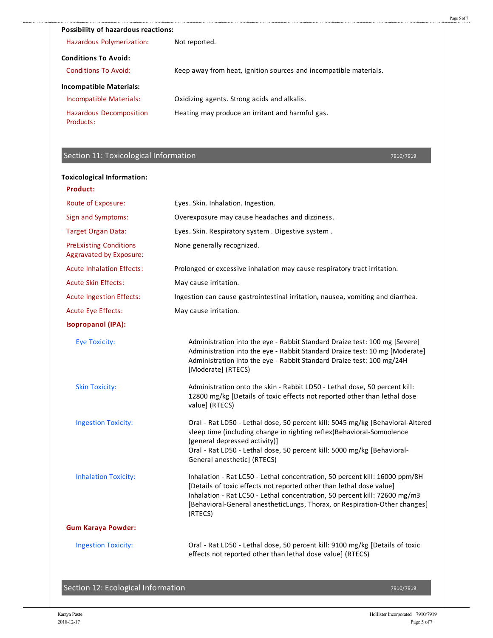| <b>Possibility of hazardous reactions:</b>  |                                                                   |
|---------------------------------------------|-------------------------------------------------------------------|
| Hazardous Polymerization:                   | Not reported.                                                     |
| <b>Conditions To Avoid:</b>                 |                                                                   |
| Conditions To Avoid:                        | Keep away from heat, ignition sources and incompatible materials. |
| <b>Incompatible Materials:</b>              |                                                                   |
| Incompatible Materials:                     | Oxidizing agents. Strong acids and alkalis.                       |
| <b>Hazardous Decomposition</b><br>Products: | Heating may produce an irritant and harmful gas.                  |

# Section 11: Toxicological Information

7910/7919

### **Toxicological Information:**

| <b>Product:</b>                                          |                                                                                                                                                                                                                                                                                                                            |
|----------------------------------------------------------|----------------------------------------------------------------------------------------------------------------------------------------------------------------------------------------------------------------------------------------------------------------------------------------------------------------------------|
| Route of Exposure:                                       | Eyes. Skin. Inhalation. Ingestion.                                                                                                                                                                                                                                                                                         |
| Sign and Symptoms:                                       | Overexposure may cause headaches and dizziness.                                                                                                                                                                                                                                                                            |
| <b>Target Organ Data:</b>                                | Eyes. Skin. Respiratory system. Digestive system.                                                                                                                                                                                                                                                                          |
| <b>PreExisting Conditions</b><br>Aggravated by Exposure: | None generally recognized.                                                                                                                                                                                                                                                                                                 |
| <b>Acute Inhalation Effects:</b>                         | Prolonged or excessive inhalation may cause respiratory tract irritation.                                                                                                                                                                                                                                                  |
| <b>Acute Skin Effects:</b>                               | May cause irritation.                                                                                                                                                                                                                                                                                                      |
| Acute Ingestion Effects:                                 | Ingestion can cause gastrointestinal irritation, nausea, vomiting and diarrhea.                                                                                                                                                                                                                                            |
| <b>Acute Eye Effects:</b>                                | May cause irritation.                                                                                                                                                                                                                                                                                                      |
| <b>Isopropanol (IPA):</b>                                |                                                                                                                                                                                                                                                                                                                            |
| <b>Eye Toxicity:</b>                                     | Administration into the eye - Rabbit Standard Draize test: 100 mg [Severe]<br>Administration into the eye - Rabbit Standard Draize test: 10 mg [Moderate]<br>Administration into the eye - Rabbit Standard Draize test: 100 mg/24H<br>[Moderate] (RTECS)                                                                   |
| <b>Skin Toxicity:</b>                                    | Administration onto the skin - Rabbit LD50 - Lethal dose, 50 percent kill:<br>12800 mg/kg [Details of toxic effects not reported other than lethal dose<br>value] (RTECS)                                                                                                                                                  |
| <b>Ingestion Toxicity:</b>                               | Oral - Rat LD50 - Lethal dose, 50 percent kill: 5045 mg/kg [Behavioral-Altered<br>sleep time (including change in righting reflex)Behavioral-Somnolence<br>(general depressed activity)]<br>Oral - Rat LD50 - Lethal dose, 50 percent kill: 5000 mg/kg [Behavioral-<br>General anesthetic] (RTECS)                         |
| <b>Inhalation Toxicity:</b>                              | Inhalation - Rat LC50 - Lethal concentration, 50 percent kill: 16000 ppm/8H<br>[Details of toxic effects not reported other than lethal dose value]<br>Inhalation - Rat LC50 - Lethal concentration, 50 percent kill: 72600 mg/m3<br>[Behavioral-General anestheticLungs, Thorax, or Respiration-Other changes]<br>(RTECS) |
| <b>Gum Karaya Powder:</b>                                |                                                                                                                                                                                                                                                                                                                            |
| <b>Ingestion Toxicity:</b>                               | Oral - Rat LD50 - Lethal dose, 50 percent kill: 9100 mg/kg [Details of toxic<br>effects not reported other than lethal dose value] (RTECS)                                                                                                                                                                                 |

Section 12: Ecological Information

7910/7919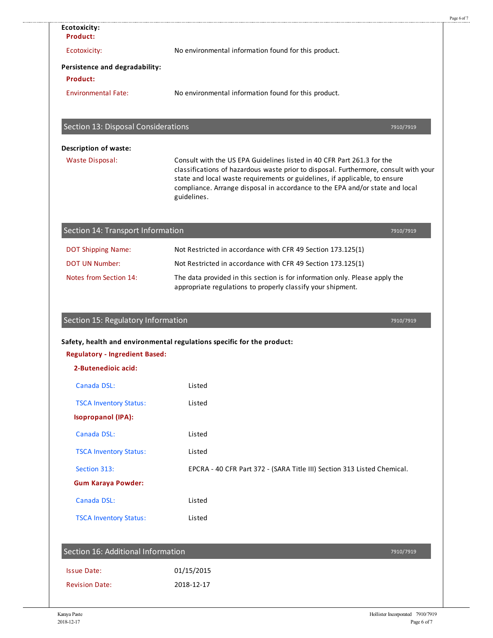| <b>Product:</b>                                              |                                                                                                                                                                                                                                                                                                                                             |
|--------------------------------------------------------------|---------------------------------------------------------------------------------------------------------------------------------------------------------------------------------------------------------------------------------------------------------------------------------------------------------------------------------------------|
| Ecotoxicity:                                                 | No environmental information found for this product.                                                                                                                                                                                                                                                                                        |
| Persistence and degradability:                               |                                                                                                                                                                                                                                                                                                                                             |
| <b>Product:</b>                                              |                                                                                                                                                                                                                                                                                                                                             |
| <b>Environmental Fate:</b>                                   | No environmental information found for this product.                                                                                                                                                                                                                                                                                        |
| Section 13: Disposal Considerations                          | 7910/7919                                                                                                                                                                                                                                                                                                                                   |
| <b>Description of waste:</b>                                 |                                                                                                                                                                                                                                                                                                                                             |
| <b>Waste Disposal:</b>                                       | Consult with the US EPA Guidelines listed in 40 CFR Part 261.3 for the<br>classifications of hazardous waste prior to disposal. Furthermore, consult with your<br>state and local waste requirements or guidelines, if applicable, to ensure<br>compliance. Arrange disposal in accordance to the EPA and/or state and local<br>guidelines. |
| Section 14: Transport Information                            | 7910/7919                                                                                                                                                                                                                                                                                                                                   |
| <b>DOT Shipping Name:</b>                                    | Not Restricted in accordance with CFR 49 Section 173.125(1)                                                                                                                                                                                                                                                                                 |
| <b>DOT UN Number:</b>                                        | Not Restricted in accordance with CFR 49 Section 173.125(1)                                                                                                                                                                                                                                                                                 |
|                                                              |                                                                                                                                                                                                                                                                                                                                             |
| Notes from Section 14:                                       | The data provided in this section is for information only. Please apply the<br>appropriate regulations to properly classify your shipment.                                                                                                                                                                                                  |
| Section 15: Regulatory Information                           | 7910/7919                                                                                                                                                                                                                                                                                                                                   |
| <b>Regulatory - Ingredient Based:</b><br>2-Butenedioic acid: | Safety, health and environmental regulations specific for the product:                                                                                                                                                                                                                                                                      |
|                                                              |                                                                                                                                                                                                                                                                                                                                             |
| Canada DSL:                                                  | Listed                                                                                                                                                                                                                                                                                                                                      |
| <b>TSCA Inventory Status:</b><br><b>Isopropanol (IPA):</b>   | Listed                                                                                                                                                                                                                                                                                                                                      |
| Canada DSL:                                                  | Listed                                                                                                                                                                                                                                                                                                                                      |
| <b>TSCA Inventory Status:</b>                                | Listed                                                                                                                                                                                                                                                                                                                                      |
| Section 313:                                                 | EPCRA - 40 CFR Part 372 - (SARA Title III) Section 313 Listed Chemical.                                                                                                                                                                                                                                                                     |
| <b>Gum Karaya Powder:</b>                                    |                                                                                                                                                                                                                                                                                                                                             |
| Canada DSL:                                                  | Listed                                                                                                                                                                                                                                                                                                                                      |
| <b>TSCA Inventory Status:</b>                                | Listed                                                                                                                                                                                                                                                                                                                                      |
| Section 16: Additional Information                           | 7910/7919                                                                                                                                                                                                                                                                                                                                   |
| <b>Issue Date:</b>                                           | 01/15/2015                                                                                                                                                                                                                                                                                                                                  |

**Ecotoxicity:**

............

Page 6 of 7